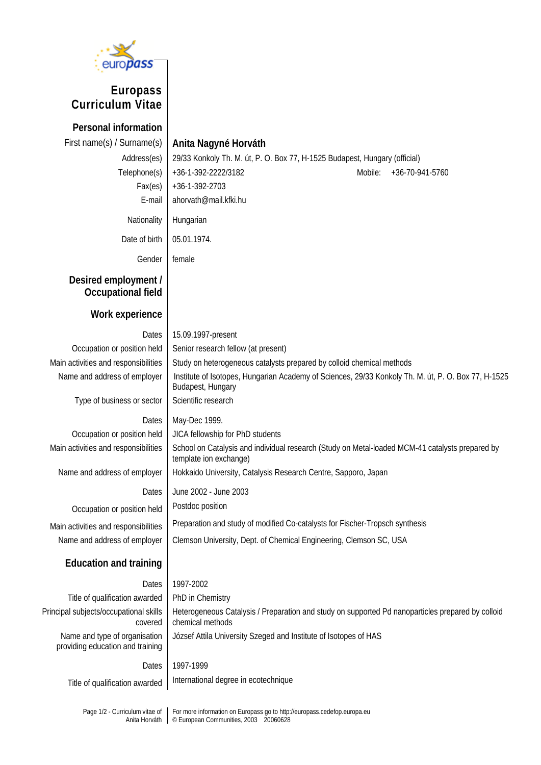

## **Europass Curriculum Vitae**

**Personal information**  First name(s) / Surname(s) **Anita Nagyné Horváth** Address(es) 29/33 Konkoly Th. M. út, P. O. Box 77, H-1525 Budapest, Hungary (official) Telephone(s) +36-1-392-2222/3182 Mobile: +36-70-941-5760 Fax(es) +36-1-392-2703 E-mail ahorvath@mail.kfki.hu Nationality Hungarian Date of birth  $\vert$  05.01.1974. Gender female **Desired employment / Occupational field Work experience**  Dates 15.09.1997-present Occupation or position held | Senior research fellow (at present) Main activities and responsibilities  $\frac{1}{1}$  Study on heterogeneous catalysts prepared by colloid chemical methods Name and address of employer | Institute of Isotopes, Hungarian Academy of Sciences, 29/33 Konkoly Th. M. út, P. O. Box 77, H-1525 Budapest, Hungary Type of business or sector  $\vert$  Scientific research Dates | May-Dec 1999. Occupation or position held JICA fellowship for PhD students Main activities and responsibilities School on Catalysis and individual research (Study on Metal-loaded MCM-41 catalysts prepared by template ion exchange) Name and address of employer | Hokkaido University, Catalysis Research Centre, Sapporo, Japan Dates June 2002 - June 2003 Occupation or position held Postdoc position Main activities and responsibilities | Preparation and study of modified Co-catalysts for Fischer-Tropsch synthesis Name and address of employer Clemson University, Dept. of Chemical Engineering, Clemson SC, USA **Education and training**  Dates 1997-2002 Title of qualification awarded  $\vert$  PhD in Chemistry Principal subjects/occupational skills covered Heterogeneous Catalysis / Preparation and study on supported Pd nanoparticles prepared by colloid chemical methods Name and type of organisation providing education and training József Attila University Szeged and Institute of Isotopes of HAS Dates 1997-1999 Title of qualification awarded | International degree in ecotechnique

Page 1/2 - Curriculum vitae of Anita Horváth For more information on Europass go to http://europass.cedefop.europa.eu © European Communities, 2003 20060628